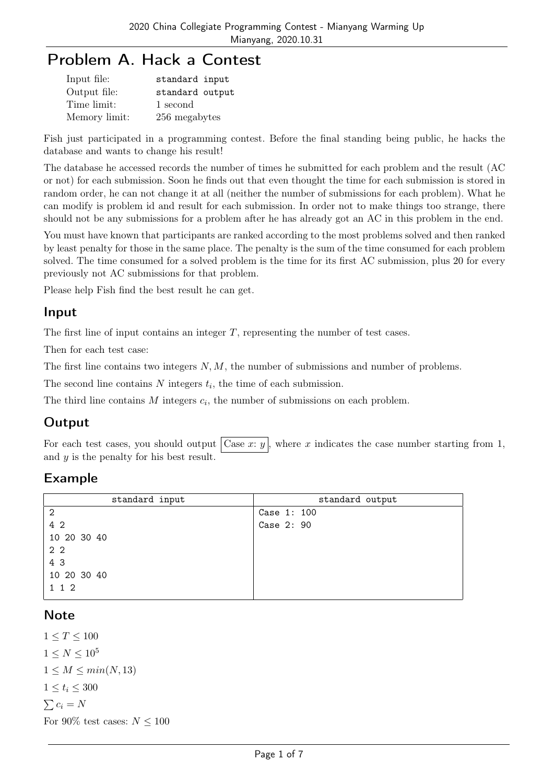# Problem A. Hack a Contest

| Input file:   | standard input  |
|---------------|-----------------|
| Output file:  | standard output |
| Time limit:   | 1 second        |
| Memory limit: | 256 megabytes   |

Fish just participated in a programming contest. Before the final standing being public, he hacks the database and wants to change his result!

The database he accessed records the number of times he submitted for each problem and the result (AC or not) for each submission. Soon he finds out that even thought the time for each submission is stored in random order, he can not change it at all (neither the number of submissions for each problem). What he can modify is problem id and result for each submission. In order not to make things too strange, there should not be any submissions for a problem after he has already got an AC in this problem in the end.

You must have known that participants are ranked according to the most problems solved and then ranked by least penalty for those in the same place. The penalty is the sum of the time consumed for each problem solved. The time consumed for a solved problem is the time for its first AC submission, plus 20 for every previously not AC submissions for that problem.

Please help Fish find the best result he can get.

### Input

The first line of input contains an integer *T*, representing the number of test cases.

Then for each test case:

The first line contains two integers *N, M*, the number of submissions and number of problems.

The second line contains  $N$  integers  $t_i$ , the time of each submission.

The third line contains  $M$  integers  $c_i$ , the number of submissions on each problem.

## **Output**

For each test cases, you should output  $\vert$  Case *x*: *y*  $\vert$ , where *x* indicates the case number starting from 1, and *y* is the penalty for his best result.

## Example

| standard input | standard output |
|----------------|-----------------|
| $\overline{2}$ | Case 1: 100     |
| 4 2            | Case 2: 90      |
| 10 20 30 40    |                 |
| 2 2            |                 |
| 4 3            |                 |
| 10 20 30 40    |                 |
| 1 1 2          |                 |
|                |                 |

### **Note**

 $1 \le T \le 100$  $1 \leq N \leq 10^5$  $1 \leq M \leq min(N, 13)$  $1 \le t_i \le 300$  $∑$ *c<sub>i</sub>* = *N* For 90% test cases:  $N \leq 100$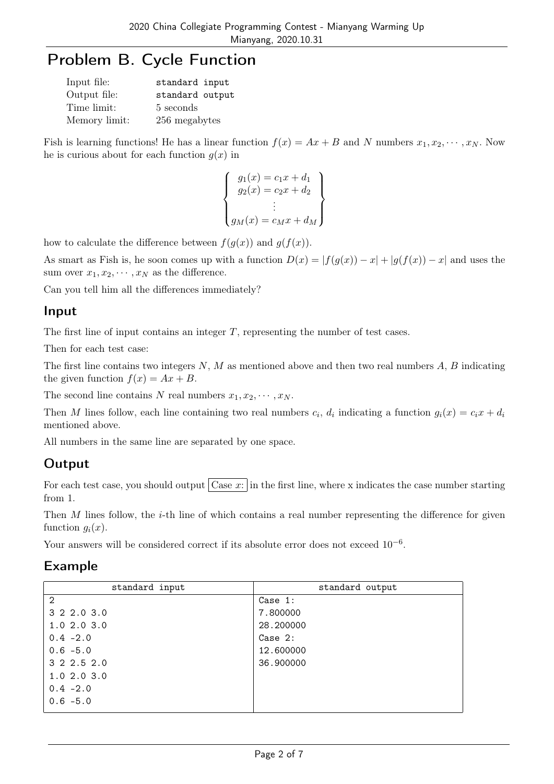# Problem B. Cycle Function

| Input file:   | standard input  |
|---------------|-----------------|
| Output file:  | standard output |
| Time limit:   | 5 seconds       |
| Memory limit: | 256 megabytes   |

Fish is learning functions! He has a linear function  $f(x) = Ax + B$  and N numbers  $x_1, x_2, \dots, x_N$ . Now he is curious about for each function  $g(x)$  in

$$
\begin{cases}\n g_1(x) = c_1x + d_1 \\
g_2(x) = c_2x + d_2 \\
\vdots \\
g_M(x) = c_Mx + d_M\n\end{cases}
$$

how to calculate the difference between  $f(g(x))$  and  $g(f(x))$ .

As smart as Fish is, he soon comes up with a function  $D(x) = |f(g(x)) - x| + |g(f(x)) - x|$  and uses the sum over  $x_1, x_2, \cdots, x_N$  as the difference.

Can you tell him all the differences immediately?

### Input

The first line of input contains an integer *T*, representing the number of test cases.

Then for each test case:

The first line contains two integers *N*, *M* as mentioned above and then two real numbers *A*, *B* indicating the given function  $f(x) = Ax + B$ .

The second line contains *N* real numbers  $x_1, x_2, \dots, x_N$ .

Then *M* lines follow, each line containing two real numbers  $c_i$ ,  $d_i$  indicating a function  $g_i(x) = c_i x + d_i$ mentioned above.

All numbers in the same line are separated by one space.

## **Output**

For each test case, you should output  $\vert$  Case x: in the first line, where x indicates the case number starting from 1.

Then *M* lines follow, the *i*-th line of which contains a real number representing the difference for given function  $q_i(x)$ .

Your answers will be considered correct if its absolute error does not exceed 10*−*<sup>6</sup> .

### Example

| standard input | standard output |
|----------------|-----------------|
| $\overline{2}$ | Case 1:         |
| 3 2 2.0 3.0    | 7.800000        |
| 1.02.03.0      | 28.200000       |
| $0.4 -2.0$     | Case 2:         |
| $0.6 - 5.0$    | 12.600000       |
| 3 2 2 5 2 0    | 36.900000       |
| 1.02.03.0      |                 |
| $0.4 - 2.0$    |                 |
| $0.6 - 5.0$    |                 |
|                |                 |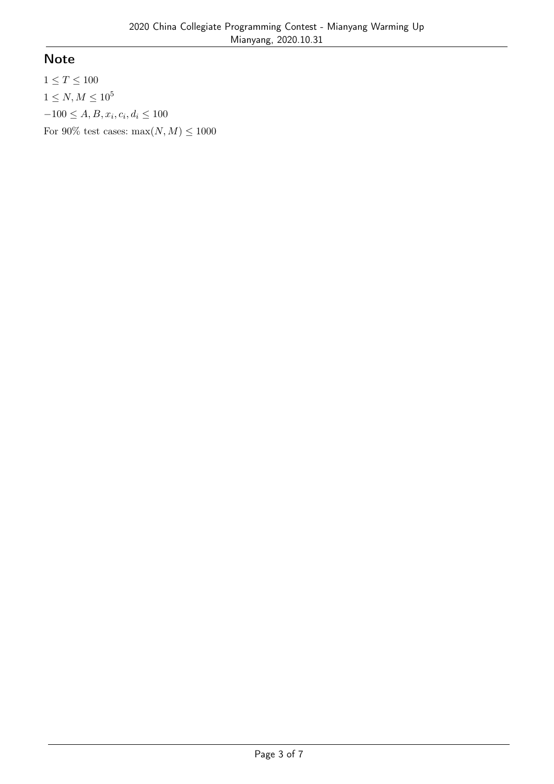## Note

 $1 \leq T \leq 100$  $1 \leq N, M \leq 10^5$  $-100 \le A, B, x_i, c_i, d_i \le 100$ For 90% test cases:  $max(N, M) \le 1000$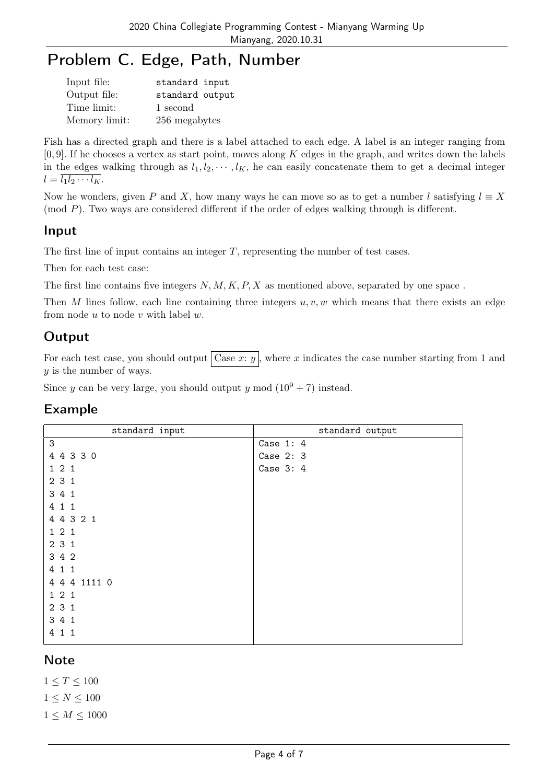# Problem C. Edge, Path, Number

| Input file:   | standard input  |
|---------------|-----------------|
| Output file:  | standard output |
| Time limit:   | 1 second        |
| Memory limit: | 256 megabytes   |

Fish has a directed graph and there is a label attached to each edge. A label is an integer ranging from [0*,* 9]. If he chooses a vertex as start point, moves along *K* edges in the graph, and writes down the labels in the edges walking through as  $l_1, l_2, \cdots, l_K$ , he can easily concatenate them to get a decimal integer  $l = \overline{l_1 l_2 \cdots l_K}$ .

Now he wonders, given *P* and *X*, how many ways he can move so as to get a number *l* satisfying  $l \equiv X$ (mod *P*). Two ways are considered different if the order of edges walking through is different.

#### Input

The first line of input contains an integer *T*, representing the number of test cases.

Then for each test case:

The first line contains five integers *N, M, K, P, X* as mentioned above, separated by one space.

Then *M* lines follow, each line containing three integers  $u, v, w$  which means that there exists an edge from node *u* to node *v* with label *w*.

## **Output**

For each test case, you should output  $\vert$  Case *x*: *y*  $\vert$ , where *x* indicates the case number starting from 1 and *y* is the number of ways.

Since *y* can be very large, you should output *y* mod  $(10^9 + 7)$  instead.

| standard input | standard output |
|----------------|-----------------|
| 3              | Case $1:4$      |
| 4 4 3 3 0      | Case $2:3$      |
| 121            | Case $3:4$      |
| 2 3 1          |                 |
| 3 4 1          |                 |
| 4 1 1          |                 |
| 4 4 3 2 1      |                 |
| 121            |                 |
| 231            |                 |
| 3 4 2          |                 |
| 4 1 1          |                 |
| 4 4 4 1111 0   |                 |
| 121            |                 |
| 231            |                 |
| 3 4 1          |                 |
| 4<br>$1\quad1$ |                 |

## Example

## **Note**

 $1 < T < 100$  $1 \leq N \leq 100$  $1 \leq M \leq 1000$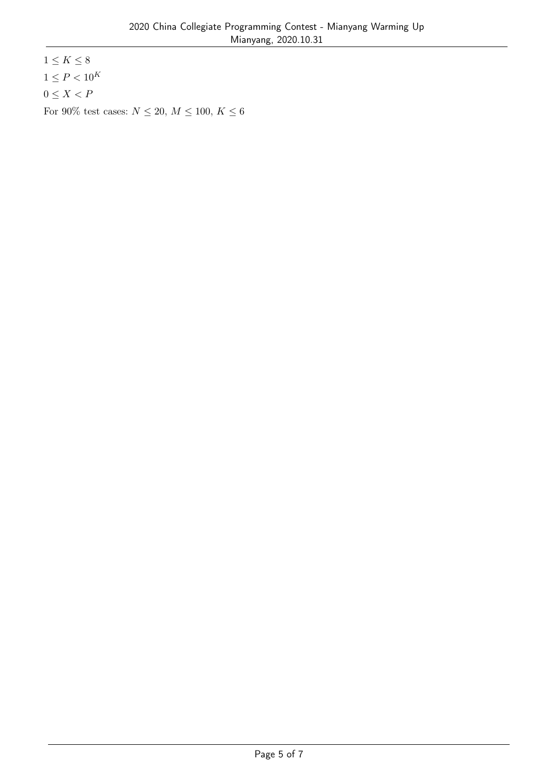$1\leq K\leq 8$  $1 \leq P < 10^{K}$  $0 \leq X < P$ For 90% test cases:  $N\leq 20,\, M\leq 100,\, K\leq 6$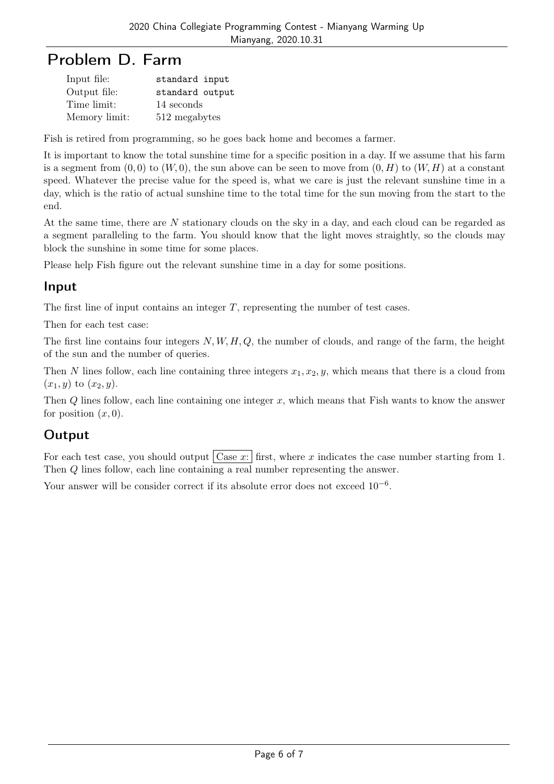# Problem D. Farm

| Input file:   | standard input  |
|---------------|-----------------|
| Output file:  | standard output |
| Time limit:   | 14 seconds      |
| Memory limit: | 512 megabytes   |

Fish is retired from programming, so he goes back home and becomes a farmer.

It is important to know the total sunshine time for a specific position in a day. If we assume that his farm is a segment from  $(0,0)$  to  $(W,0)$ , the sun above can be seen to move from  $(0,H)$  to  $(W,H)$  at a constant speed. Whatever the precise value for the speed is, what we care is just the relevant sunshine time in a day, which is the ratio of actual sunshine time to the total time for the sun moving from the start to the end.

At the same time, there are *N* stationary clouds on the sky in a day, and each cloud can be regarded as a segment paralleling to the farm. You should know that the light moves straightly, so the clouds may block the sunshine in some time for some places.

Please help Fish figure out the relevant sunshine time in a day for some positions.

## Input

The first line of input contains an integer *T*, representing the number of test cases.

Then for each test case:

The first line contains four integers *N, W, H, Q*, the number of clouds, and range of the farm, the height of the sun and the number of queries.

Then *N* lines follow, each line containing three integers  $x_1, x_2, y$ , which means that there is a cloud from  $(x_1, y)$  to  $(x_2, y)$ .

Then *Q* lines follow, each line containing one integer *x*, which means that Fish wants to know the answer for position  $(x, 0)$ .

## **Output**

For each test case, you should output  $\vert$  Case *x*: first, where *x* indicates the case number starting from 1. Then *Q* lines follow, each line containing a real number representing the answer.

Your answer will be consider correct if its absolute error does not exceed 10*−*<sup>6</sup> .